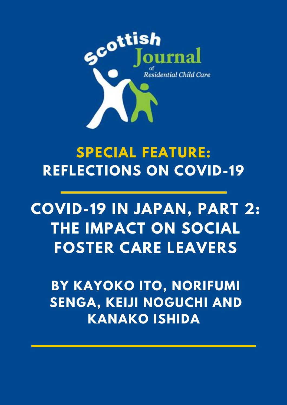

# **SPECIAL FEATURE: REFLECTIONS ON COVID-19**

# **COVID-19 IN JAPAN, PART 2: THE IMPACT ON SOCIAL FOSTER CARE LEAVERS**

**BY KAYOKO ITO, NORIFUMI SENGA, KEIJI NOGUCHI AND KANAKO ISHIDA**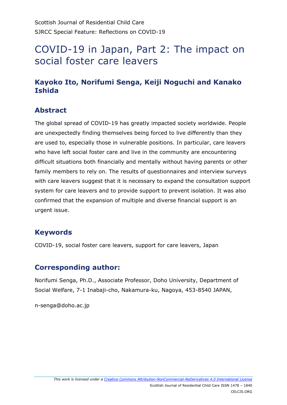# COVID-19 in Japan, Part 2: The impact on social foster care leavers

## **Kayoko Ito, Norifumi Senga, Keiji Noguchi and Kanako Ishida**

## **Abstract**

The global spread of COVID-19 has greatly impacted society worldwide. People are unexpectedly finding themselves being forced to live differently than they are used to, especially those in vulnerable positions. In particular, care leavers who have left social foster care and live in the community are encountering difficult situations both financially and mentally without having parents or other family members to rely on. The results of questionnaires and interview surveys with care leavers suggest that it is necessary to expand the consultation support system for care leavers and to provide support to prevent isolation. It was also confirmed that the expansion of multiple and diverse financial support is an urgent issue.

## **Keywords**

COVID-19, social foster care leavers, support for care leavers, Japan

#### **Corresponding author:**

Norifumi Senga, Ph.D., Associate Professor, Doho University, Department of Social Welfare, 7-1 Inabaji-cho, Nakamura-ku, Nagoya, 453-8540 JAPAN,

n-senga@doho.ac.jp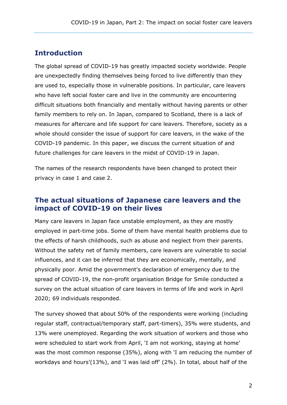#### **Introduction**

The global spread of COVID-19 has greatly impacted society worldwide. People are unexpectedly finding themselves being forced to live differently than they are used to, especially those in vulnerable positions. In particular, care leavers who have left social foster care and live in the community are encountering difficult situations both financially and mentally without having parents or other family members to rely on. In Japan, compared to Scotland, there is a lack of measures for aftercare and life support for care leavers. Therefore, society as a whole should consider the issue of support for care leavers, in the wake of the COVID-19 pandemic. In this paper, we discuss the current situation of and future challenges for care leavers in the midst of COVID-19 in Japan.

The names of the research respondents have been changed to protect their privacy in case 1 and case 2.

#### **The actual situations of Japanese care leavers and the impact of COVID-19 on their lives**

Many care leavers in Japan face unstable employment, as they are mostly employed in part-time jobs. Some of them have mental health problems due to the effects of harsh childhoods, such as abuse and neglect from their parents. Without the safety net of family members, care leavers are vulnerable to social influences, and it can be inferred that they are economically, mentally, and physically poor. Amid the government's declaration of emergency due to the spread of COVID-19, the non-profit organisation Bridge for Smile conducted a survey on the actual situation of care leavers in terms of life and work in April 2020; 69 individuals responded.

The survey showed that about 50% of the respondents were working (including regular staff, contractual/temporary staff, part-timers), 35% were students, and 13% were unemployed. Regarding the work situation of workers and those who were scheduled to start work from April, 'I am not working, staying at home' was the most common response (35%), along with 'I am reducing the number of workdays and hours'(13%), and 'I was laid off' (2%). In total, about half of the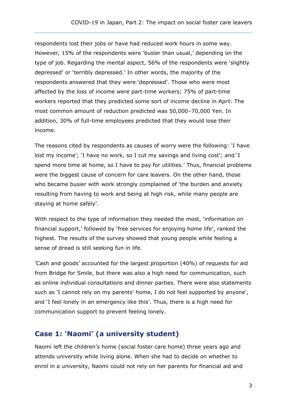respondents lost their jobs or have had reduced work hours in some way. However, 15% of the respondents were 'busier than usual,' depending on the type of job. Regarding the mental aspect, 56% of the respondents were 'slightly depressed' or 'terribly depressed.' In other words, the majority of the respondents answered that they were 'depressed'. Those who were most affected by the loss of income were part-time workers; 75% of part-time workers reported that they predicted some sort of income decline in April. The most common amount of reduction predicted was 50,000–70,000 Yen. In addition, 30% of full-time employees predicted that they would lose their income.

The reasons cited by respondents as causes of worry were the following: 'I have lost my income'; 'I have no work, so I cut my savings and living cost'; and 'I spend more time at home, so I have to pay for utilities.' Thus, financial problems were the biggest cause of concern for care leavers. On the other hand, those who became busier with work strongly complained of 'the burden and anxiety resulting from having to work and being at high risk, while many people are staying at home safely'.

With respect to the type of information they needed the most, 'information on financial support,' followed by 'free services for enjoying home life', ranked the highest. The results of the survey showed that young people while feeling a sense of dread is still seeking fun in life.

'Cash and goods' accounted for the largest proportion (40%) of requests for aid from Bridge for Smile, but there was also a high need for communication, such as online individual consultations and dinner parties. There were also statements such as 'I cannot rely on my parents' home, I do not feel supported by anyone', and 'I feel lonely in an emergency like this'. Thus, there is a high need for communication support to prevent feeling lonely.

# **Case 1: 'Naomi' (a university student)**

Naomi left the children's home (social foster care home) three years ago and attends university while living alone. When she had to decide on whether to enrol in a university, Naomi could not rely on her parents for financial aid and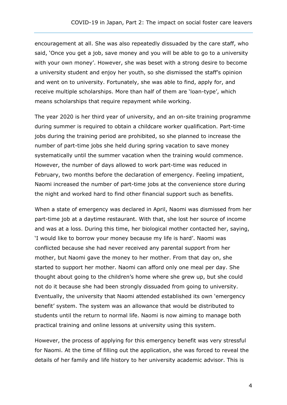encouragement at all. She was also repeatedly dissuaded by the care staff, who said, 'Once you get a job, save money and you will be able to go to a university with your own money'. However, she was beset with a strong desire to become a university student and enjoy her youth, so she dismissed the staff's opinion and went on to university. Fortunately, she was able to find, apply for, and receive multiple scholarships. More than half of them are 'loan-type', which means scholarships that require repayment while working.

The year 2020 is her third year of university, and an on-site training programme during summer is required to obtain a childcare worker qualification. Part-time jobs during the training period are prohibited, so she planned to increase the number of part-time jobs she held during spring vacation to save money systematically until the summer vacation when the training would commence. However, the number of days allowed to work part-time was reduced in February, two months before the declaration of emergency. Feeling impatient, Naomi increased the number of part-time jobs at the convenience store during the night and worked hard to find other financial support such as benefits.

When a state of emergency was declared in April, Naomi was dismissed from her part-time job at a daytime restaurant. With that, she lost her source of income and was at a loss. During this time, her biological mother contacted her, saying, 'I would like to borrow your money because my life is hard'. Naomi was conflicted because she had never received any parental support from her mother, but Naomi gave the money to her mother. From that day on, she started to support her mother. Naomi can afford only one meal per day. She thought about going to the children's home where she grew up, but she could not do it because she had been strongly dissuaded from going to university. Eventually, the university that Naomi attended established its own 'emergency benefit' system. The system was an allowance that would be distributed to students until the return to normal life. Naomi is now aiming to manage both practical training and online lessons at university using this system.

However, the process of applying for this emergency benefit was very stressful for Naomi. At the time of filling out the application, she was forced to reveal the details of her family and life history to her university academic advisor. This is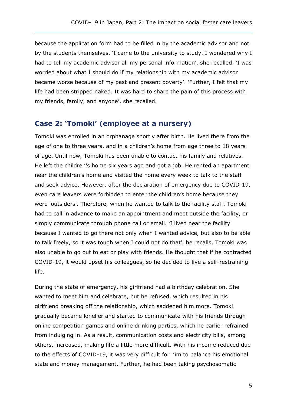because the application form had to be filled in by the academic advisor and not by the students themselves. 'I came to the university to study. I wondered why I had to tell my academic advisor all my personal information', she recalled. 'I was worried about what I should do if my relationship with my academic advisor became worse because of my past and present poverty'. 'Further, I felt that my life had been stripped naked. It was hard to share the pain of this process with my friends, family, and anyone', she recalled.

# **Case 2: 'Tomoki' (employee at a nursery)**

Tomoki was enrolled in an orphanage shortly after birth. He lived there from the age of one to three years, and in a children's home from age three to 18 years of age. Until now, Tomoki has been unable to contact his family and relatives. He left the children's home six years ago and got a job. He rented an apartment near the children's home and visited the home every week to talk to the staff and seek advice. However, after the declaration of emergency due to COVID-19, even care leavers were forbidden to enter the children's home because they were 'outsiders'. Therefore, when he wanted to talk to the facility staff, Tomoki had to call in advance to make an appointment and meet outside the facility, or simply communicate through phone call or email. 'I lived near the facility because I wanted to go there not only when I wanted advice, but also to be able to talk freely, so it was tough when I could not do that', he recalls. Tomoki was also unable to go out to eat or play with friends. He thought that if he contracted COVID-19, it would upset his colleagues, so he decided to live a self-restraining life.

During the state of emergency, his girlfriend had a birthday celebration. She wanted to meet him and celebrate, but he refused, which resulted in his girlfriend breaking off the relationship, which saddened him more. Tomoki gradually became lonelier and started to communicate with his friends through online competition games and online drinking parties, which he earlier refrained from indulging in. As a result, communication costs and electricity bills, among others, increased, making life a little more difficult. With his income reduced due to the effects of COVID-19, it was very difficult for him to balance his emotional state and money management. Further, he had been taking psychosomatic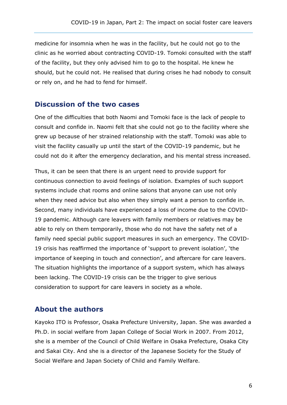medicine for insomnia when he was in the facility, but he could not go to the clinic as he worried about contracting COVID-19. Tomoki consulted with the staff of the facility, but they only advised him to go to the hospital. He knew he should, but he could not. He realised that during crises he had nobody to consult or rely on, and he had to fend for himself.

#### **Discussion of the two cases**

One of the difficulties that both Naomi and Tomoki face is the lack of people to consult and confide in. Naomi felt that she could not go to the facility where she grew up because of her strained relationship with the staff. Tomoki was able to visit the facility casually up until the start of the COVID-19 pandemic, but he could not do it after the emergency declaration, and his mental stress increased.

Thus, it can be seen that there is an urgent need to provide support for continuous connection to avoid feelings of isolation. Examples of such support systems include chat rooms and online salons that anyone can use not only when they need advice but also when they simply want a person to confide in. Second, many individuals have experienced a loss of income due to the COVID-19 pandemic. Although care leavers with family members or relatives may be able to rely on them temporarily, those who do not have the safety net of a family need special public support measures in such an emergency. The COVID-19 crisis has reaffirmed the importance of 'support to prevent isolation', 'the importance of keeping in touch and connection', and aftercare for care leavers. The situation highlights the importance of a support system, which has always been lacking. The COVID-19 crisis can be the trigger to give serious consideration to support for care leavers in society as a whole.

#### **About the authors**

Kayoko ITO is Professor, Osaka Prefecture University, Japan. She was awarded a Ph.D. in social welfare from Japan College of Social Work in 2007. From 2012, she is a member of the Council of Child Welfare in Osaka Prefecture, Osaka City and Sakai City. And she is a director of the Japanese Society for the Study of Social Welfare and Japan Society of Child and Family Welfare.